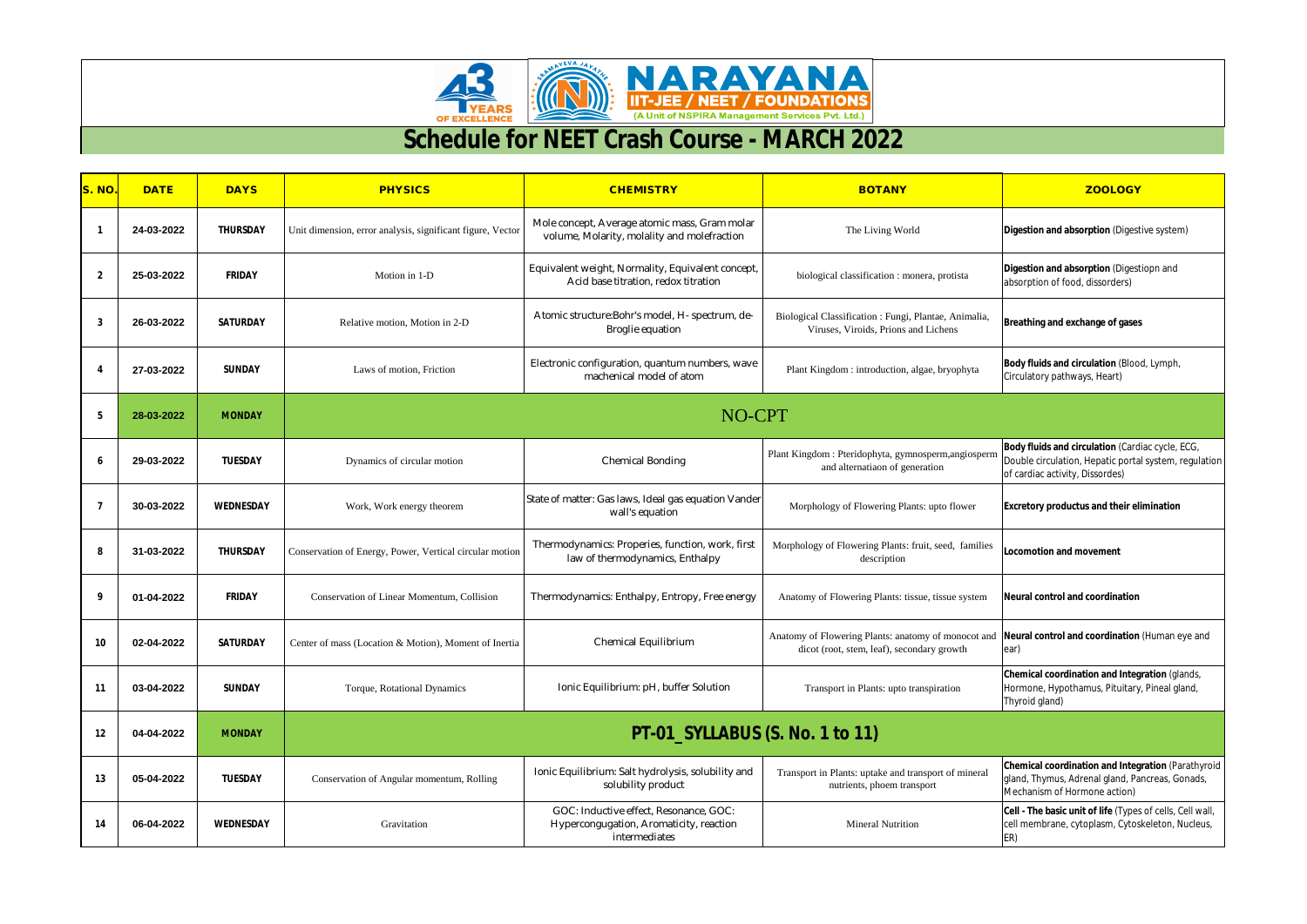



|                |             |                  |                                                            | <b>Schedule for NEET Crash Course - MARCH 2022</b>                                                 |                                                                                                                                                   |                                                                                                                                              |
|----------------|-------------|------------------|------------------------------------------------------------|----------------------------------------------------------------------------------------------------|---------------------------------------------------------------------------------------------------------------------------------------------------|----------------------------------------------------------------------------------------------------------------------------------------------|
| S. NO          | <b>DATE</b> | <b>DAYS</b>      | <b>PHYSICS</b>                                             | <b>CHEMISTRY</b>                                                                                   | <b>BOTANY</b>                                                                                                                                     | <b>ZOOLOGY</b>                                                                                                                               |
| -1             | 24-03-2022  | <b>THURSDAY</b>  | Unit dimension, error analysis, significant figure, Vector | Mole concept, Average atomic mass, Gram molar<br>volume, Molarity, molality and molefraction       | The Living World                                                                                                                                  | Digestion and absorption (Digestive system)                                                                                                  |
| $\overline{2}$ | 25-03-2022  | <b>FRIDAY</b>    | Motion in 1-D                                              | Equivalent weight, Normality, Equivalent concept<br>Acid base titration, redox titration           | biological classification : monera, protista                                                                                                      | Digestion and absorption (Digestiopn and<br>absorption of food, dissorders)                                                                  |
| 3              | 26-03-2022  | <b>SATURDAY</b>  | Relative motion, Motion in 2-D                             | Atomic structure: Bohr's model, H- spectrum, de-<br>Broglie equation                               | Biological Classification : Fungi, Plantae, Animalia,<br>Viruses, Viroids, Prions and Lichens                                                     | Breathing and exchange of gases                                                                                                              |
|                | 27-03-2022  | <b>SUNDAY</b>    | Laws of motion, Friction                                   | Electronic configuration, quantum numbers, wave<br>machenical model of atom                        | Plant Kingdom: introduction, algae, bryophyta                                                                                                     | Body fluids and circulation (Blood, Lymph,<br>Circulatory pathways, Heart)                                                                   |
| 5              | 28-03-2022  | <b>MONDAY</b>    | NO-CPT                                                     |                                                                                                    |                                                                                                                                                   |                                                                                                                                              |
|                | 29-03-2022  | <b>TUESDAY</b>   | Dynamics of circular motion                                | <b>Chemical Bonding</b>                                                                            | Plant Kingdom: Pteridophyta, gymnosperm,angiosperm<br>and alternatiaon of generation                                                              | Body fluids and circulation (Cardiac cycle, ECG,<br>Double circulation, Hepatic portal system, regulation<br>of cardiac activity, Dissordes) |
| 7              | 30-03-2022  | <b>WEDNESDAY</b> | Work, Work energy theorem                                  | State of matter: Gas laws, Ideal gas equation Vander<br>wall's equation                            | Morphology of Flowering Plants: upto flower                                                                                                       | <b>Excretory productus and their elimination</b>                                                                                             |
| 8              | 31-03-2022  | <b>THURSDAY</b>  | Conservation of Energy, Power, Vertical circular motion    | Thermodynamics: Properies, function, work, first<br>law of thermodynamics, Enthalpy                | Morphology of Flowering Plants: fruit, seed, families<br>description                                                                              | <b>Locomotion and movement</b>                                                                                                               |
| 9              | 01-04-2022  | <b>FRIDAY</b>    | <b>Conservation of Linear Momentum, Collision</b>          | Thermodynamics: Enthalpy, Entropy, Free energy                                                     | Anatomy of Flowering Plants: tissue, tissue system                                                                                                | Neural control and coordination                                                                                                              |
| 10             | 02-04-2022  | <b>SATURDAY</b>  | Center of mass (Location & Motion), Moment of Inertia      | Chemical Equilibrium                                                                               | Anatomy of Flowering Plants: anatomy of monocot and  Neural control and coordination (Human eye and<br>dicot (root, stem, leaf), secondary growth | ear)                                                                                                                                         |
| 11             | 03-04-2022  | <b>SUNDAY</b>    | Torque, Rotational Dynamics                                | Ionic Equilibrium: pH, buffer Solution                                                             | Transport in Plants: upto transpiration                                                                                                           | Chemical coordination and Integration (glands,<br>Hormone, Hypothamus, Pituitary, Pineal gland,<br>Thyroid gland)                            |
| 12             | 04-04-2022  | <b>MONDAY</b>    | <b>PT-01_SYLLABUS (S. No. 1 to 11)</b>                     |                                                                                                    |                                                                                                                                                   |                                                                                                                                              |
| 13             | 05-04-2022  | <b>TUESDAY</b>   | Conservation of Angular momentum, Rolling                  | Ionic Equilibrium: Salt hydrolysis, solubility and<br>solubility product                           | Transport in Plants: uptake and transport of mineral<br>nutrients, phoem transport                                                                | <b>Chemical coordination and Integration (Parathyroid</b><br>gland, Thymus, Adrenal gland, Pancreas, Gonads,<br>Mechanism of Hormone action) |
| 14             | 06-04-2022  | <b>WEDNESDAY</b> | Gravitation                                                | GOC: Inductive effect, Resonance, GOC:<br>Hypercongugation, Aromaticity, reaction<br>intermediates | <b>Mineral Nutrition</b>                                                                                                                          | Cell - The basic unit of life (Types of cells, Cell wall,<br>cell membrane, cytoplasm, Cytoskeleton, Nucleus,<br>ER)                         |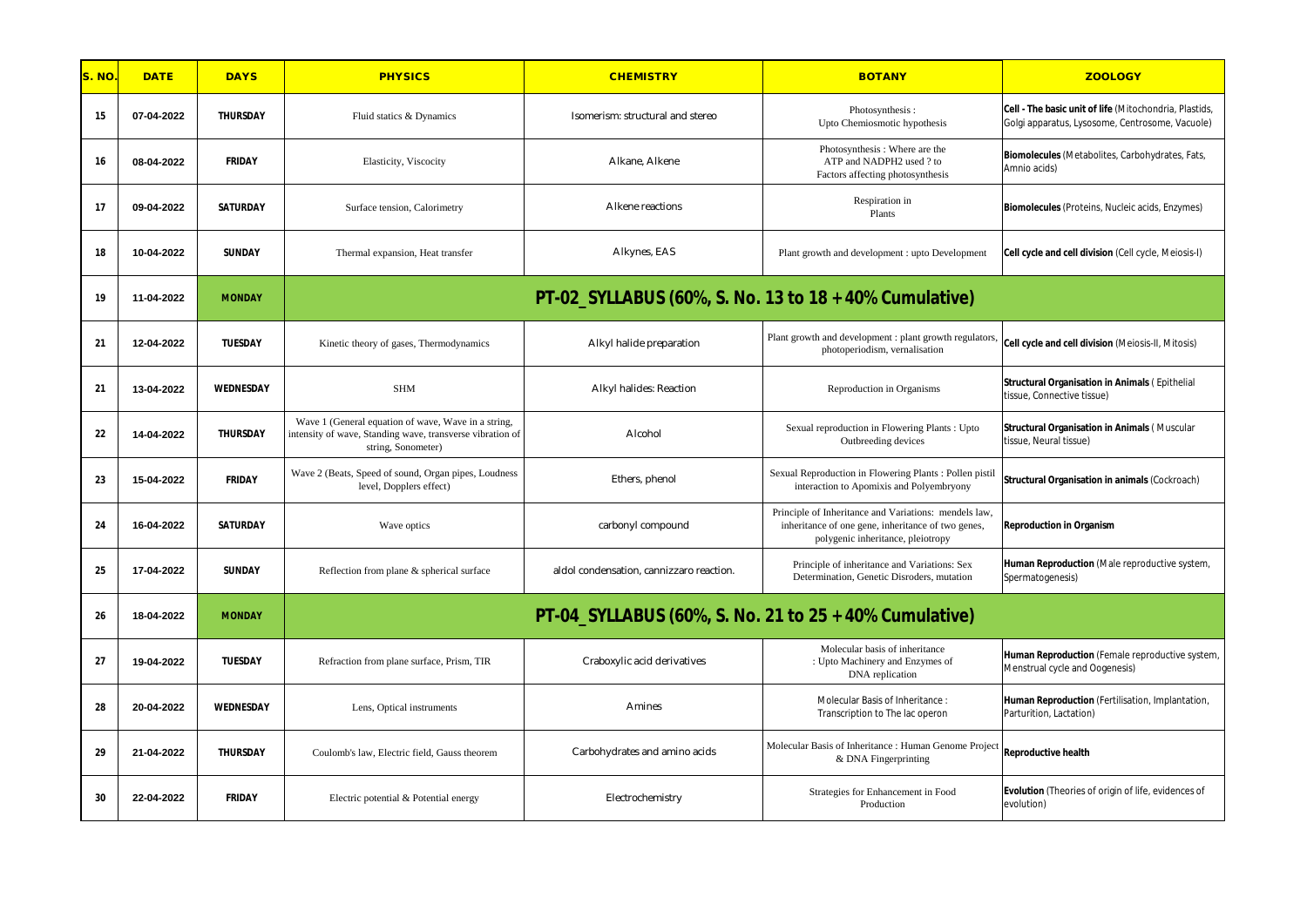| S. NO. | <b>DATE</b> | <b>DAYS</b>      | <b>PHYSICS</b>                                                                                                                         | <b>CHEMISTRY</b>                                       | <b>BOTANY</b>                                                                                                                                    | <b>ZOOLOGY</b>                                                                                            |
|--------|-------------|------------------|----------------------------------------------------------------------------------------------------------------------------------------|--------------------------------------------------------|--------------------------------------------------------------------------------------------------------------------------------------------------|-----------------------------------------------------------------------------------------------------------|
| 15     | 07-04-2022  | <b>THURSDAY</b>  | Fluid statics & Dynamics                                                                                                               | Isomerism: structural and stereo                       | Photosynthesis:<br>Upto Chemiosmotic hypothesis                                                                                                  | Cell - The basic unit of life (Mitochondria, Plastids,<br>Golgi apparatus, Lysosome, Centrosome, Vacuole) |
| 16     | 08-04-2022  | <b>FRIDAY</b>    | Elasticity, Viscocity                                                                                                                  | Alkane, Alkene                                         | Photosynthesis: Where are the<br>ATP and NADPH2 used ? to<br>Factors affecting photosynthesis                                                    | Biomolecules (Metabolites, Carbohydrates, Fats,<br>Amnio acids)                                           |
| 17     | 09-04-2022  | <b>SATURDAY</b>  | Surface tension, Calorimetry                                                                                                           | Alkene reactions                                       | Respiration in<br>Plants                                                                                                                         | Biomolecules (Proteins, Nucleic acids, Enzymes)                                                           |
| 18     | 10-04-2022  | <b>SUNDAY</b>    | Thermal expansion, Heat transfer                                                                                                       | Alkynes, EAS                                           | Plant growth and development : upto Development                                                                                                  | Cell cycle and cell division (Cell cycle, Meiosis-I)                                                      |
| 19     | 11-04-2022  | <b>MONDAY</b>    |                                                                                                                                        | PT-02_SYLLABUS (60%, S. No. 13 to 18 + 40% Cumulative) |                                                                                                                                                  |                                                                                                           |
| 21     | 12-04-2022  | <b>TUESDAY</b>   | Kinetic theory of gases, Thermodynamics                                                                                                | Alkyl halide preparation                               | Plant growth and development : plant growth regulators,<br>photoperiodism, vernalisation                                                         | Cell cycle and cell division (Meiosis-II, Mitosis)                                                        |
| 21     | 13-04-2022  | <b>WEDNESDAY</b> | <b>SHM</b>                                                                                                                             | Alkyl halides: Reaction                                | Reproduction in Organisms                                                                                                                        | <b>Structural Organisation in Animals (Epithelial</b><br>tissue, Connective tissue)                       |
| 22     | 14-04-2022  | <b>THURSDAY</b>  | Wave 1 (General equation of wave, Wave in a string,<br>intensity of wave, Standing wave, transverse vibration of<br>string, Sonometer) | Alcohol                                                | Sexual reproduction in Flowering Plants : Upto<br>Outbreeding devices                                                                            | <b>Structural Organisation in Animals (Muscular</b><br>tissue, Neural tissue)                             |
| 23     | 15-04-2022  | <b>FRIDAY</b>    | Wave 2 (Beats, Speed of sound, Organ pipes, Loudness<br>level, Dopplers effect)                                                        | Ethers, phenol                                         | Sexual Reproduction in Flowering Plants : Pollen pistil<br>interaction to Apomixis and Polyembryony                                              | <b>Structural Organisation in animals (Cockroach)</b>                                                     |
| 24     | 16-04-2022  | <b>SATURDAY</b>  | Wave optics                                                                                                                            | carbonyl compound                                      | Principle of Inheritance and Variations: mendels law,<br>inheritance of one gene, inheritance of two genes,<br>polygenic inheritance, pleiotropy | <b>Reproduction in Organism</b>                                                                           |
| 25     | 17-04-2022  | <b>SUNDAY</b>    | Reflection from plane & spherical surface                                                                                              | aldol condensation, cannizzaro reaction.               | Principle of inheritance and Variations: Sex<br>Determination, Genetic Disroders, mutation                                                       | Human Reproduction (Male reproductive system,<br>Spermatogenesis)                                         |
| 26     | 18-04-2022  | <b>MONDAY</b>    |                                                                                                                                        | PT-04_SYLLABUS (60%, S. No. 21 to 25 + 40% Cumulative) |                                                                                                                                                  |                                                                                                           |
| 27     | 19-04-2022  | <b>TUESDAY</b>   | Refraction from plane surface, Prism, TIR                                                                                              | Craboxylic acid derivatives                            | Molecular basis of inheritance<br>: Upto Machinery and Enzymes of<br>DNA replication                                                             | Human Reproduction (Female reproductive system,<br>Menstrual cycle and Oogenesis)                         |
| 28     | 20-04-2022  | <b>WEDNESDAY</b> | Lens, Optical instruments                                                                                                              | Amines                                                 | Molecular Basis of Inheritance:<br>Transcription to The lac operon                                                                               | Human Reproduction (Fertilisation, Implantation,<br>Parturition, Lactation)                               |
| 29     | 21-04-2022  | <b>THURSDAY</b>  | Coulomb's law, Electric field, Gauss theorem                                                                                           | Carbohydrates and amino acids                          | Molecular Basis of Inheritance : Human Genome Projec<br>& DNA Fingerprinting                                                                     | <b>Reproductive health</b>                                                                                |
| 30     | 22-04-2022  | <b>FRIDAY</b>    | Electric potential & Potential energy                                                                                                  | Electrochemistry                                       | Strategies for Enhancement in Food<br>Production                                                                                                 | <b>Evolution</b> (Theories of origin of life, evidences of<br>evolution)                                  |

| <b>ZOOLOGY</b>                                                                                                   |
|------------------------------------------------------------------------------------------------------------------|
| <b>Cell - The basic unit of life</b> (Mitochondria, Plastids,<br>Golgi apparatus, Lysosome, Centrosome, Vacuole) |
| <b>Biomolecules</b> (Metabolites, Carbohydrates, Fats,<br>Amnio acids)                                           |
| <b>Biomolecules</b> (Proteins, Nucleic acids, Enzymes)                                                           |
| <b>Cell cycle and cell division</b> (Cell cycle, Meiosis-I)                                                      |

|     | <b>Human Reproduction</b> (Fertilisation, implantat<br>Parturition, Lactation) |
|-----|--------------------------------------------------------------------------------|
| ect | <b>Reproductive health</b>                                                     |
|     |                                                                                |